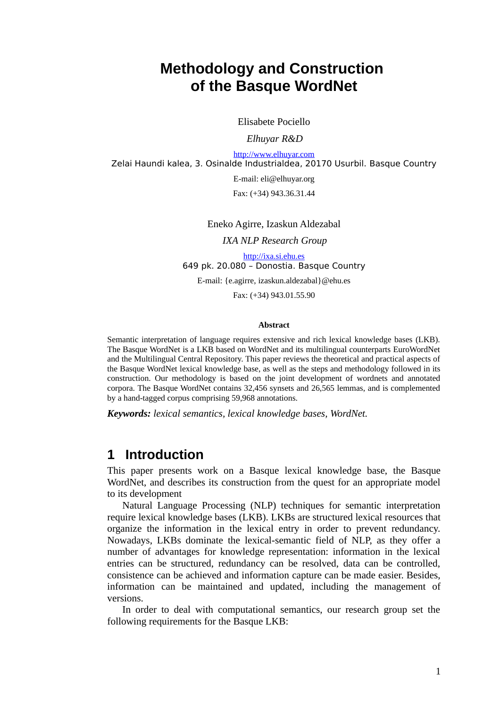# **Methodology and Construction of the Basque WordNet**

Elisabete Pociello

*Elhuyar R&D*

[http://www.elhuyar.com](http://www.elhuyar.com/)

Zelai Haundi kalea, 3. Osinalde Industrialdea, 20170 Usurbil. Basque Country

E-mail: eli@elhuyar.org Fax: (+34) 943.36.31.44

Eneko Agirre, Izaskun Aldezabal

*IXA NLP Research Group*

[http://ixa.si.ehu.es](http://ixa.si.ehu.es/) 649 pk. 20.080 – Donostia. Basque Country E-mail: {e.agirre, izaskun.aldezabal}@ehu.es

Fax: (+34) 943.01.55.90

#### **Abstract**

Semantic interpretation of language requires extensive and rich lexical knowledge bases (LKB). The Basque WordNet is a LKB based on WordNet and its multilingual counterparts EuroWordNet and the Multilingual Central Repository. This paper reviews the theoretical and practical aspects of the Basque WordNet lexical knowledge base, as well as the steps and methodology followed in its construction. Our methodology is based on the joint development of wordnets and annotated corpora. The Basque WordNet contains 32,456 synsets and 26,565 lemmas, and is complemented by a hand-tagged corpus comprising 59,968 annotations.

*Keywords: lexical semantics, lexical knowledge bases, WordNet.*

# **1 Introduction**

This paper presents work on a Basque lexical knowledge base, the Basque WordNet, and describes its construction from the quest for an appropriate model to its development

Natural Language Processing (NLP) techniques for semantic interpretation require lexical knowledge bases (LKB). LKBs are structured lexical resources that organize the information in the lexical entry in order to prevent redundancy. Nowadays, LKBs dominate the lexical-semantic field of NLP, as they offer a number of advantages for knowledge representation: information in the lexical entries can be structured, redundancy can be resolved, data can be controlled, consistence can be achieved and information capture can be made easier. Besides, information can be maintained and updated, including the management of versions.

In order to deal with computational semantics, our research group set the following requirements for the Basque LKB: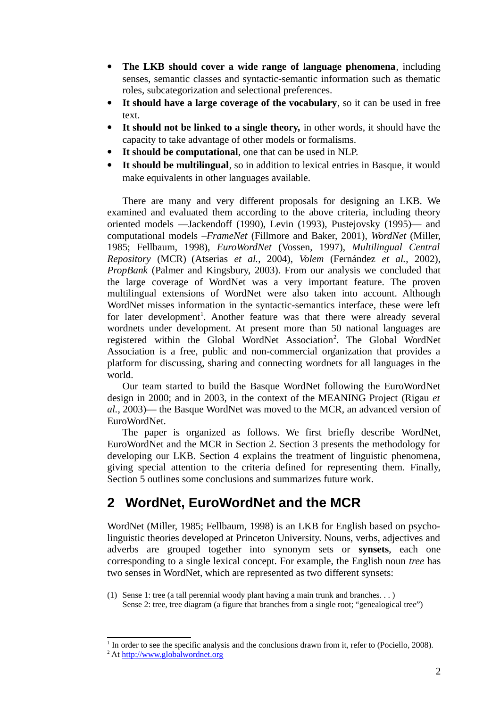- **The LKB should cover a wide range of language phenomena**, including senses, semantic classes and syntactic-semantic information such as thematic roles, subcategorization and selectional preferences.
- **It should have a large coverage of the vocabulary**, so it can be used in free text.
- **It should not be linked to a single theory,** in other words, it should have the capacity to take advantage of other models or formalisms.
- **It should be computational**, one that can be used in NLP.
- **It should be multilingual**, so in addition to lexical entries in Basque, it would make equivalents in other languages available.

There are many and very different proposals for designing an LKB. We examined and evaluated them according to the above criteria, including theory oriented models —Jackendoff (1990), Levin (1993), Pustejovsky (1995)— and computational models –*FrameNet* (Fillmore and Baker, 2001), *WordNet* (Miller, 1985; Fellbaum, 1998), *EuroWordNet* (Vossen, 1997), *Multilingual Central Repository* (MCR) (Atserias *et al.*, 2004), *Volem* (Fernández *et al.*, 2002), *PropBank* (Palmer and Kingsbury, 2003). From our analysis we concluded that the large coverage of WordNet was a very important feature. The proven multilingual extensions of WordNet were also taken into account. Although WordNet misses information in the syntactic-semantics interface, these were left for later development<sup>[1](#page-1-0)</sup>. Another feature was that there were already several wordnets under development. At present more than 50 national languages are registered within the Global WordNet Association<sup>[2](#page-1-1)</sup>. The Global WordNet Association is a free, public and non-commercial organization that provides a platform for discussing, sharing and connecting wordnets for all languages in the world.

Our team started to build the Basque WordNet following the EuroWordNet design in 2000; and in 2003, in the context of the MEANING Project (Rigau *et al.*, 2003)— the Basque WordNet was moved to the MCR, an advanced version of EuroWordNet.

The paper is organized as follows. We first briefly describe WordNet, EuroWordNet and the MCR in Section 2. Section 3 presents the methodology for developing our LKB. Section 4 explains the treatment of linguistic phenomena, giving special attention to the criteria defined for representing them. Finally, Section 5 outlines some conclusions and summarizes future work.

# **2 WordNet, EuroWordNet and the MCR**

WordNet (Miller, 1985; Fellbaum, 1998) is an LKB for English based on psycholinguistic theories developed at Princeton University. Nouns, verbs, adjectives and adverbs are grouped together into synonym sets or **synsets**, each one corresponding to a single lexical concept. For example, the English noun *tree* has two senses in WordNet, which are represented as two different synsets:

(1) Sense 1: tree (a tall perennial woody plant having a main trunk and branches. . . ) Sense 2: tree, tree diagram (a figure that branches from a single root; "genealogical tree")

<span id="page-1-0"></span><sup>&</sup>lt;sup>1</sup> In order to see the specific analysis and the conclusions drawn from it, refer to (Pociello, 2008).

<span id="page-1-1"></span><sup>&</sup>lt;sup>2</sup> At http://www.globalwordnet.org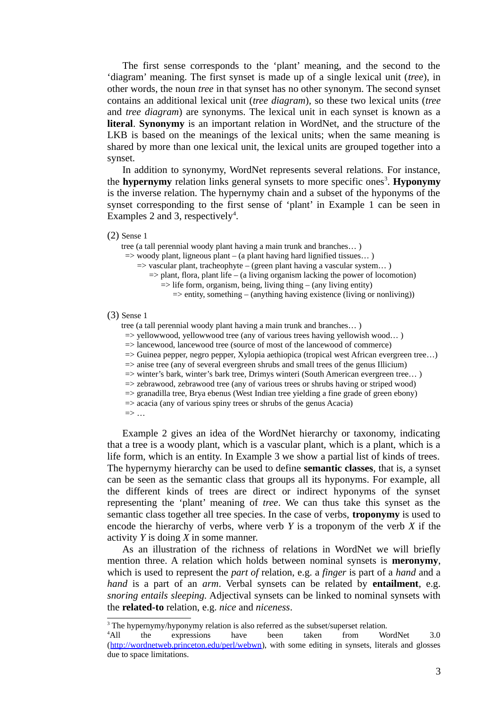The first sense corresponds to the 'plant' meaning, and the second to the 'diagram' meaning. The first synset is made up of a single lexical unit (*tree*), in other words, the noun *tree* in that synset has no other synonym. The second synset contains an additional lexical unit (*tree diagram*), so these two lexical units (*tree* and *tree diagram*) are synonyms. The lexical unit in each synset is known as a **literal**. **Synonymy** is an important relation in WordNet, and the structure of the LKB is based on the meanings of the lexical units; when the same meaning is shared by more than one lexical unit, the lexical units are grouped together into a synset.

In addition to synonymy, WordNet represents several relations. For instance, the **hypernymy** relation links general synsets to more specific ones<sup>[3](#page-2-0)</sup>. Hyponymy is the inverse relation. The hypernymy chain and a subset of the hyponyms of the synset corresponding to the first sense of 'plant' in Example 1 can be seen in Examples 2 and 3, respectively<sup>[4](#page-2-1)</sup>.

#### (2) Sense 1

tree (a tall perennial woody plant having a main trunk and branches… )

- $=$  woody plant, ligneous plant (a plant having hard lignified tissues...)
	- $\Rightarrow$  vascular plant, tracheophyte (green plant having a vascular system...)
		- $\Rightarrow$  plant, flora, plant life (a living organism lacking the power of locomotion)  $\Rightarrow$  life form, organism, being, living thing – (any living entity)
			- $\Rightarrow$  entity, something (anything having existence (living or nonliving))

#### (3) Sense 1

tree (a tall perennial woody plant having a main trunk and branches… )

- $\Rightarrow$  yellowwood, yellowwood tree (any of various trees having yellowish wood...)
- => lancewood, lancewood tree (source of most of the lancewood of commerce)
- => Guinea pepper, negro pepper, Xylopia aethiopica (tropical west African evergreen tree…)
- $\Rightarrow$  anise tree (any of several evergreen shrubs and small trees of the genus Illicium)
- => winter's bark, winter's bark tree, Drimys winteri (South American evergreen tree… )
- => zebrawood, zebrawood tree (any of various trees or shrubs having or striped wood)
- $\Rightarrow$  granadilla tree, Brya ebenus (West Indian tree yielding a fine grade of green ebony)
- $\Rightarrow$  acacia (any of various spiny trees or shrubs of the genus Acacia)
- $\Rightarrow$  …

Example 2 gives an idea of the WordNet hierarchy or taxonomy, indicating that a tree is a woody plant, which is a vascular plant, which is a plant, which is a life form, which is an entity. In Example 3 we show a partial list of kinds of trees. The hypernymy hierarchy can be used to define **semantic classes**, that is, a synset can be seen as the semantic class that groups all its hyponyms. For example, all the different kinds of trees are direct or indirect hyponyms of the synset representing the 'plant' meaning of *tree*. We can thus take this synset as the semantic class together all tree species. In the case of verbs, **troponymy** is used to encode the hierarchy of verbs, where verb *Y* is a troponym of the verb *X* if the activity *Y* is doing *X* in some manner.

As an illustration of the richness of relations in WordNet we will briefly mention three. A relation which holds between nominal synsets is **meronymy**, which is used to represent the *part of* relation, e.g. a *finger* is part of a *hand* and a *hand* is a part of an *arm*. Verbal synsets can be related by **entailment**, e.g. *snoring entails sleeping.* Adjectival synsets can be linked to nominal synsets with the **related-to** relation, e.g. *nice* and *niceness*.

<span id="page-2-0"></span><sup>3</sup> The hypernymy/hyponymy relation is also referred as the subset/superset relation*.*

<span id="page-2-1"></span><sup>4</sup>All the expressions have been taken from WordNet 3.0 [\(http://wordnetweb.princeton.edu/perl/webwn\)](http://wordnetweb.princeton.edu/perl/webwn), with some editing in synsets, literals and glosses due to space limitations.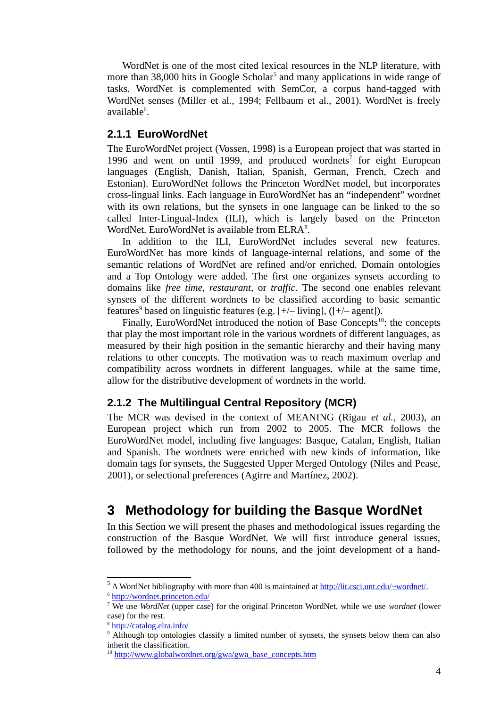WordNet is one of the most cited lexical resources in the NLP literature, with more than 38,000 hits in Google Scholar<sup>[5](#page-3-0)</sup> and many applications in wide range of tasks. WordNet is complemented with SemCor, a corpus hand-tagged with WordNet senses (Miller et al., 1994; Fellbaum et al., 2001). WordNet is freely available<sup>[6](#page-3-1)</sup>.

#### **2.1.1 EuroWordNet**

The EuroWordNet project (Vossen, 1998) is a European project that was started in 1996 and went on until 1999, and produced wordnets<sup>[7](#page-3-2)</sup> for eight European languages (English, Danish, Italian, Spanish, German, French, Czech and Estonian). EuroWordNet follows the Princeton WordNet model, but incorporates cross-lingual links. Each language in EuroWordNet has an "independent" wordnet with its own relations, but the synsets in one language can be linked to the so called Inter-Lingual-Index (ILI), which is largely based on the Princeton WordNet. EuroWordNet is available from  $ELRA^8$  $ELRA^8$ .

In addition to the ILI, EuroWordNet includes several new features. EuroWordNet has more kinds of language-internal relations, and some of the semantic relations of WordNet are refined and/or enriched. Domain ontologies and a Top Ontology were added. The first one organizes synsets according to domains like *free time, restaurant,* or *traffic*. The second one enables relevant synsets of the different wordnets to be classified according to basic semantic features<sup>[9](#page-3-4)</sup> based on linguistic features (e.g.  $[+/$  living],  $([+/-$  agent]).

Finally, EuroWordNet introduced the notion of Base Concepts<sup>[10](#page-3-5)</sup>: the concepts that play the most important role in the various wordnets of different languages, as measured by their high position in the semantic hierarchy and their having many relations to other concepts. The motivation was to reach maximum overlap and compatibility across wordnets in different languages, while at the same time, allow for the distributive development of wordnets in the world.

### **2.1.2 The Multilingual Central Repository (MCR)**

The MCR was devised in the context of MEANING (Rigau *et al.*, 2003), an European project which run from 2002 to 2005. The MCR follows the EuroWordNet model, including five languages: Basque, Catalan, English, Italian and Spanish. The wordnets were enriched with new kinds of information, like domain tags for synsets, the Suggested Upper Merged Ontology (Niles and Pease, 2001), or selectional preferences (Agirre and Martínez, 2002).

# **3 Methodology for building the Basque WordNet**

In this Section we will present the phases and methodological issues regarding the construction of the Basque WordNet. We will first introduce general issues, followed by the methodology for nouns, and the joint development of a hand-

<span id="page-3-0"></span> $^5$  A WordNet bibliography with more than 400 is maintained at  $http://lit.csci.unt.edu/~wordnet/.$ </u>

<span id="page-3-1"></span><sup>&</sup>lt;sup>6</sup> <http://wordnet.princeton.edu/>

<span id="page-3-2"></span><sup>7</sup> We use *WordNet* (upper case) for the original Princeton WordNet, while we use *wordnet* (lower case) for the rest.

<span id="page-3-3"></span><sup>&</sup>lt;sup>8</sup> <http://catalog.elra.info/>

<span id="page-3-4"></span><sup>&</sup>lt;sup>9</sup> Although top ontologies classify a limited number of synsets, the synsets below them can also inherit the classification.

<span id="page-3-5"></span><sup>&</sup>lt;sup>10</sup> [http://www.globalwordnet.org/gwa/gwa\\_base\\_concepts.htm](http://www.globalwordnet.org/gwa/gwa_base_concepts.htm)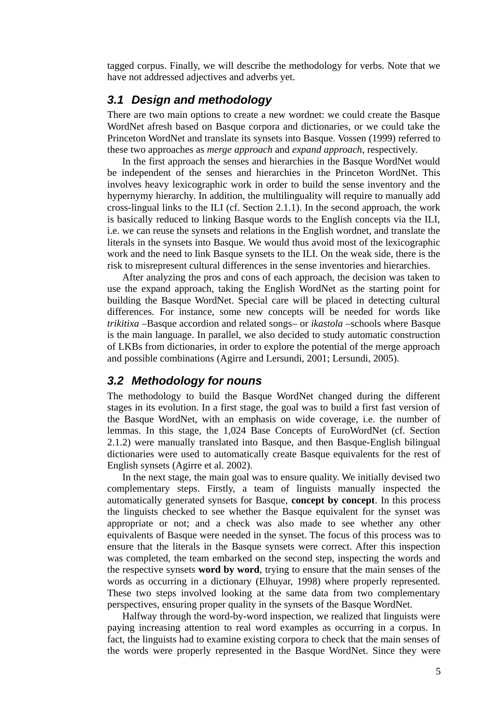tagged corpus. Finally, we will describe the methodology for verbs. Note that we have not addressed adjectives and adverbs yet.

### *3.1 Design and methodology*

There are two main options to create a new wordnet: we could create the Basque WordNet afresh based on Basque corpora and dictionaries, or we could take the Princeton WordNet and translate its synsets into Basque. Vossen (1999) referred to these two approaches as *merge approach* and *expand approach*, respectively.

 In the first approach the senses and hierarchies in the Basque WordNet would be independent of the senses and hierarchies in the Princeton WordNet. This involves heavy lexicographic work in order to build the sense inventory and the hypernymy hierarchy. In addition, the multilinguality will require to manually add cross-lingual links to the ILI (cf. Section 2.1.1). In the second approach, the work is basically reduced to linking Basque words to the English concepts via the ILI, i.e. we can reuse the synsets and relations in the English wordnet, and translate the literals in the synsets into Basque. We would thus avoid most of the lexicographic work and the need to link Basque synsets to the ILI. On the weak side, there is the risk to misrepresent cultural differences in the sense inventories and hierarchies.

After analyzing the pros and cons of each approach, the decision was taken to use the expand approach, taking the English WordNet as the starting point for building the Basque WordNet. Special care will be placed in detecting cultural differences. For instance, some new concepts will be needed for words like *trikitixa –*Basque accordion and related songs*–* or *ikastola –*schools where Basque is the main language. In parallel, we also decided to study automatic construction of LKBs from dictionaries, in order to explore the potential of the merge approach and possible combinations (Agirre and Lersundi, 2001; Lersundi, 2005).

### *3.2 Methodology for nouns*

The methodology to build the Basque WordNet changed during the different stages in its evolution. In a first stage, the goal was to build a first fast version of the Basque WordNet, with an emphasis on wide coverage, i.e. the number of lemmas. In this stage, the 1,024 Base Concepts of EuroWordNet (cf. Section 2.1.2) were manually translated into Basque, and then Basque-English bilingual dictionaries were used to automatically create Basque equivalents for the rest of English synsets (Agirre et al. 2002).

In the next stage, the main goal was to ensure quality. We initially devised two complementary steps. Firstly, a team of linguists manually inspected the automatically generated synsets for Basque, **concept by concept**. In this process the linguists checked to see whether the Basque equivalent for the synset was appropriate or not; and a check was also made to see whether any other equivalents of Basque were needed in the synset. The focus of this process was to ensure that the literals in the Basque synsets were correct. After this inspection was completed, the team embarked on the second step, inspecting the words and the respective synsets **word by word**, trying to ensure that the main senses of the words as occurring in a dictionary (Elhuyar, 1998) where properly represented. These two steps involved looking at the same data from two complementary perspectives, ensuring proper quality in the synsets of the Basque WordNet.

Halfway through the word-by-word inspection, we realized that linguists were paying increasing attention to real word examples as occurring in a corpus. In fact, the linguists had to examine existing corpora to check that the main senses of the words were properly represented in the Basque WordNet. Since they were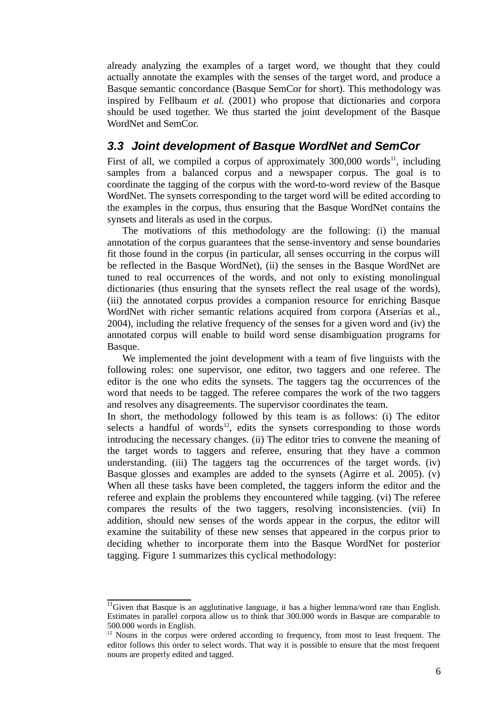already analyzing the examples of a target word, we thought that they could actually annotate the examples with the senses of the target word, and produce a Basque semantic concordance (Basque SemCor for short). This methodology was inspired by Fellbaum *et al.* (2001) who propose that dictionaries and corpora should be used together. We thus started the joint development of the Basque WordNet and SemCor.

### *3.3 Joint development of Basque WordNet and SemCor*

First of all, we compiled a corpus of approximately  $300,000$  words<sup>[11](#page-5-0)</sup>, including samples from a balanced corpus and a newspaper corpus. The goal is to coordinate the tagging of the corpus with the word-to-word review of the Basque WordNet. The synsets corresponding to the target word will be edited according to the examples in the corpus, thus ensuring that the Basque WordNet contains the synsets and literals as used in the corpus.

The motivations of this methodology are the following: (i) the manual annotation of the corpus guarantees that the sense-inventory and sense boundaries fit those found in the corpus (in particular, all senses occurring in the corpus will be reflected in the Basque WordNet), (ii) the senses in the Basque WordNet are tuned to real occurrences of the words, and not only to existing monolingual dictionaries (thus ensuring that the synsets reflect the real usage of the words), (iii) the annotated corpus provides a companion resource for enriching Basque WordNet with richer semantic relations acquired from corpora (Atserias et al., 2004), including the relative frequency of the senses for a given word and (iv) the annotated corpus will enable to build word sense disambiguation programs for Basque.

We implemented the joint development with a team of five linguists with the following roles: one supervisor, one editor, two taggers and one referee. The editor is the one who edits the synsets. The taggers tag the occurrences of the word that needs to be tagged. The referee compares the work of the two taggers and resolves any disagreements. The supervisor coordinates the team.

In short, the methodology followed by this team is as follows: (i) The editor selects a handful of words<sup>[12](#page-5-1)</sup>, edits the synsets corresponding to those words introducing the necessary changes. (ii) The editor tries to convene the meaning of the target words to taggers and referee, ensuring that they have a common understanding. (iii) The taggers tag the occurrences of the target words. (iv) Basque glosses and examples are added to the synsets (Agirre et al. 2005). (v) When all these tasks have been completed, the taggers inform the editor and the referee and explain the problems they encountered while tagging. (vi) The referee compares the results of the two taggers, resolving inconsistencies. (vii) In addition, should new senses of the words appear in the corpus, the editor will examine the suitability of these new senses that appeared in the corpus prior to deciding whether to incorporate them into the Basque WordNet for posterior tagging. Figure 1 summarizes this cyclical methodology:

<span id="page-5-0"></span> $11$ Given that Basque is an agglutinative language, it has a higher lemma/word rate than English. Estimates in parallel corpora allow us to think that 300.000 words in Basque are comparable to 500.000 words in English.

<span id="page-5-1"></span><sup>&</sup>lt;sup>12</sup> Nouns in the corpus were ordered according to frequency, from most to least frequent. The editor follows this order to select words. That way it is possible to ensure that the most frequent nouns are properly edited and tagged.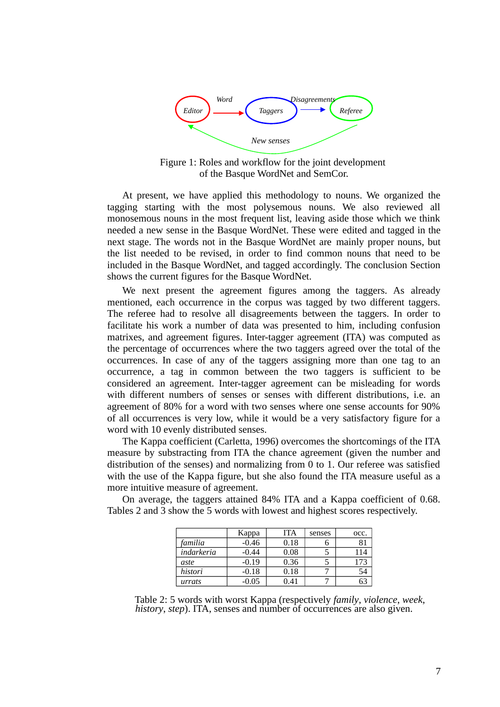

Figure 1: Roles and workflow for the joint development of the Basque WordNet and SemCor.

At present, we have applied this methodology to nouns. We organized the tagging starting with the most polysemous nouns. We also reviewed all monosemous nouns in the most frequent list, leaving aside those which we think needed a new sense in the Basque WordNet. These were edited and tagged in the next stage. The words not in the Basque WordNet are mainly proper nouns, but the list needed to be revised, in order to find common nouns that need to be included in the Basque WordNet, and tagged accordingly. The conclusion Section shows the current figures for the Basque WordNet.

We next present the agreement figures among the taggers. As already mentioned, each occurrence in the corpus was tagged by two different taggers. The referee had to resolve all disagreements between the taggers. In order to facilitate his work a number of data was presented to him, including confusion matrixes, and agreement figures. Inter-tagger agreement (ITA) was computed as the percentage of occurrences where the two taggers agreed over the total of the occurrences. In case of any of the taggers assigning more than one tag to an occurrence, a tag in common between the two taggers is sufficient to be considered an agreement. Inter-tagger agreement can be misleading for words with different numbers of senses or senses with different distributions, i.e. an agreement of 80% for a word with two senses where one sense accounts for 90% of all occurrences is very low, while it would be a very satisfactory figure for a word with 10 evenly distributed senses.

The Kappa coefficient (Carletta, 1996) overcomes the shortcomings of the ITA measure by substracting from ITA the chance agreement (given the number and distribution of the senses) and normalizing from 0 to 1. Our referee was satisfied with the use of the Kappa figure, but she also found the ITA measure useful as a more intuitive measure of agreement.

|            | Kappa      | ITA        | senses | occ. |
|------------|------------|------------|--------|------|
| familia    | $-0.46$    | 0.18       |        |      |
| indarkeria | $-0.44$    | $0.08\,$   |        | 11   |
| aste       | -0.19      | 0.36       |        |      |
| histori    | $\rm 0.18$ | $\rm 0.18$ |        |      |

*urrats*  $-0.05$  0.41 7 63

On average, the taggers attained 84% ITA and a Kappa coefficient of 0.68. Tables 2 and 3 show the 5 words with lowest and highest scores respectively.

Table 2: 5 words with worst Kappa (respectively *family*, *violence*, *week*, *history*, *step*). ITA, senses and number of occurrences are also given.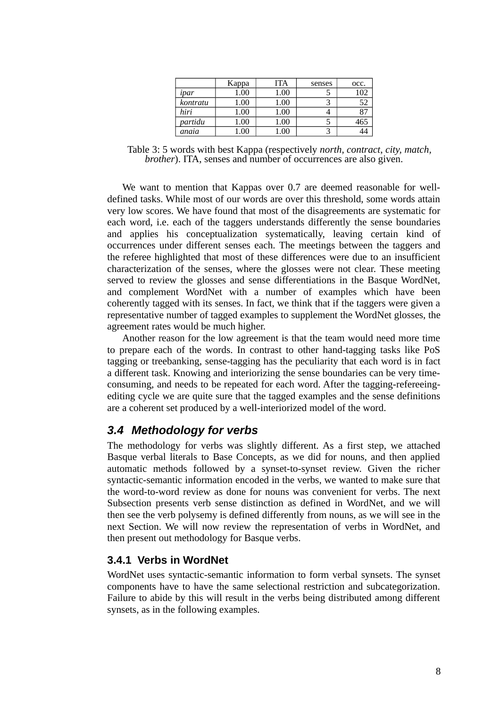|          | Kappa    | ITA      | senses | occ. |
|----------|----------|----------|--------|------|
| ıpar     | $1.00\,$ | 1.00     |        | 102  |
| kontratu | 1.00     | 1.00     |        | 52   |
| hiri     | 1.00     | 1.00     |        | 87   |
| partidu  | $1.00\,$ | 1.00     |        | 465  |
| anaia    | .00      | $1.00\,$ |        |      |

Table 3: 5 words with best Kappa (respectively *north*, *contract*, *city, match, brother*). ITA, senses and number of occurrences are also given.

We want to mention that Kappas over 0.7 are deemed reasonable for welldefined tasks. While most of our words are over this threshold, some words attain very low scores. We have found that most of the disagreements are systematic for each word, i.e. each of the taggers understands differently the sense boundaries and applies his conceptualization systematically, leaving certain kind of occurrences under different senses each. The meetings between the taggers and the referee highlighted that most of these differences were due to an insufficient characterization of the senses, where the glosses were not clear. These meeting served to review the glosses and sense differentiations in the Basque WordNet, and complement WordNet with a number of examples which have been coherently tagged with its senses. In fact, we think that if the taggers were given a representative number of tagged examples to supplement the WordNet glosses, the agreement rates would be much higher.

Another reason for the low agreement is that the team would need more time to prepare each of the words. In contrast to other hand-tagging tasks like PoS tagging or treebanking, sense-tagging has the peculiarity that each word is in fact a different task. Knowing and interiorizing the sense boundaries can be very timeconsuming, and needs to be repeated for each word. After the tagging-refereeingediting cycle we are quite sure that the tagged examples and the sense definitions are a coherent set produced by a well-interiorized model of the word.

### *3.4 Methodology for verbs*

The methodology for verbs was slightly different. As a first step, we attached Basque verbal literals to Base Concepts, as we did for nouns, and then applied automatic methods followed by a synset-to-synset review. Given the richer syntactic-semantic information encoded in the verbs, we wanted to make sure that the word-to-word review as done for nouns was convenient for verbs. The next Subsection presents verb sense distinction as defined in WordNet, and we will then see the verb polysemy is defined differently from nouns, as we will see in the next Section. We will now review the representation of verbs in WordNet, and then present out methodology for Basque verbs.

#### **3.4.1 Verbs in WordNet**

WordNet uses syntactic-semantic information to form verbal synsets. The synset components have to have the same selectional restriction and subcategorization. Failure to abide by this will result in the verbs being distributed among different synsets, as in the following examples.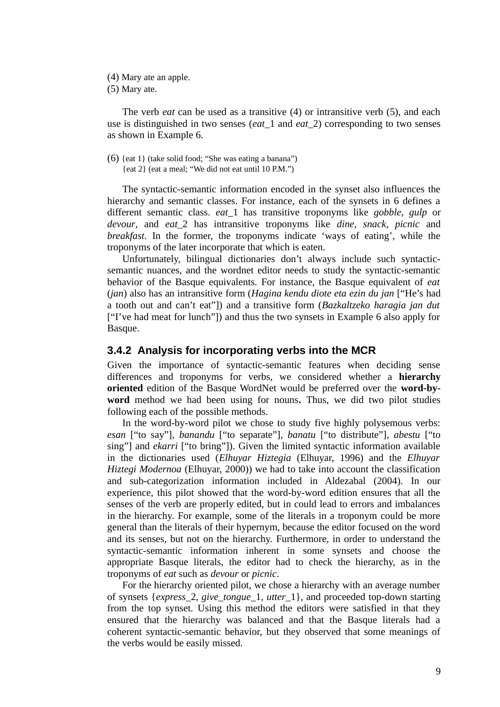(4) Mary ate an apple. (5) Mary ate.

The verb *eat* can be used as a transitive (4) or intransitive verb (5), and each use is distinguished in two senses (*eat*\_1 and *eat*\_2) corresponding to two senses as shown in Example 6.

(6) {eat 1} (take solid food; "She was eating a banana") {eat 2} (eat a meal; "We did not eat until 10 P.M.")

The syntactic-semantic information encoded in the synset also influences the hierarchy and semantic classes. For instance, each of the synsets in 6 defines a different semantic class. *eat*\_1 has transitive troponyms like *gobble, gulp* or *devour*, and *eat*\_2 has intransitive troponyms like *dine, snack, picnic* and *breakfast*. In the former, the troponyms indicate 'ways of eating', while the troponyms of the later incorporate that which is eaten.

Unfortunately, bilingual dictionaries don't always include such syntacticsemantic nuances, and the wordnet editor needs to study the syntactic-semantic behavior of the Basque equivalents. For instance, the Basque equivalent of *eat* (*jan*) also has an intransitive form (*Hagina kendu diote eta ezin du jan* ["He's had a tooth out and can't eat"]) and a transitive form (*Bazkaltzeko haragia jan dut* ["I've had meat for lunch"]) and thus the two synsets in Example 6 also apply for Basque.

#### **3.4.2 Analysis for incorporating verbs into the MCR**

Given the importance of syntactic-semantic features when deciding sense differences and troponyms for verbs, we considered whether a **hierarchy oriented** edition of the Basque WordNet would be preferred over the **word-byword** method we had been using for nouns**.** Thus, we did two pilot studies following each of the possible methods.

In the word-by-word pilot we chose to study five highly polysemous verbs: *esan* ["to say"]*, banandu* ["to separate"]*, banatu* ["to distribute"]*, abestu* ["to sing"] and *ekarri* ["to bring"]). Given the limited syntactic information available in the dictionaries used (*Elhuyar Hiztegia* (Elhuyar, 1996) and the *Elhuyar Hiztegi Modernoa* (Elhuyar, 2000)) we had to take into account the classification and sub-categorization information included in Aldezabal (2004). In our experience, this pilot showed that the word-by-word edition ensures that all the senses of the verb are properly edited, but in could lead to errors and imbalances in the hierarchy. For example, some of the literals in a troponym could be more general than the literals of their hypernym, because the editor focused on the word and its senses, but not on the hierarchy. Furthermore, in order to understand the syntactic-semantic information inherent in some synsets and choose the appropriate Basque literals, the editor had to check the hierarchy, as in the troponyms of *eat* such as *devour* or *picnic*.

For the hierarchy oriented pilot, we chose a hierarchy with an average number of synsets {*express*\_2*, give\_tongue\_*1*, utter*\_1}, and proceeded top-down starting from the top synset. Using this method the editors were satisfied in that they ensured that the hierarchy was balanced and that the Basque literals had a coherent syntactic-semantic behavior, but they observed that some meanings of the verbs would be easily missed.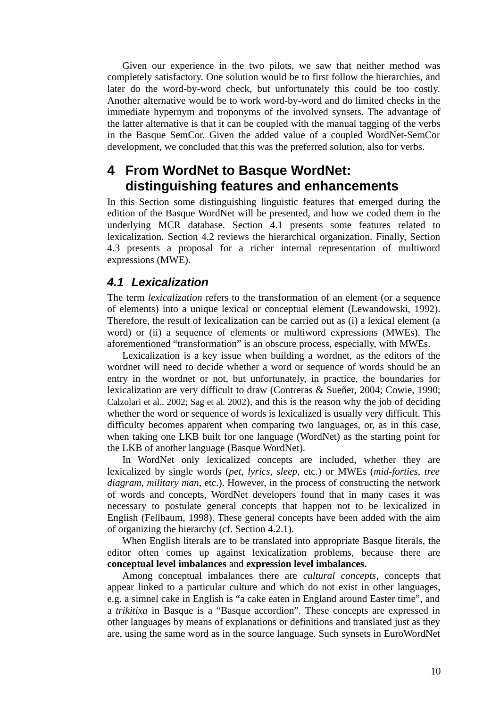Given our experience in the two pilots, we saw that neither method was completely satisfactory. One solution would be to first follow the hierarchies, and later do the word-by-word check, but unfortunately this could be too costly. Another alternative would be to work word-by-word and do limited checks in the immediate hypernym and troponyms of the involved synsets. The advantage of the latter alternative is that it can be coupled with the manual tagging of the verbs in the Basque SemCor. Given the added value of a coupled WordNet-SemCor development, we concluded that this was the preferred solution, also for verbs.

## **4 From WordNet to Basque WordNet: distinguishing features and enhancements**

In this Section some distinguishing linguistic features that emerged during the edition of the Basque WordNet will be presented, and how we coded them in the underlying MCR database. Section 4.1 presents some features related to lexicalization. Section 4.2 reviews the hierarchical organization. Finally, Section 4.3 presents a proposal for a richer internal representation of multiword expressions (MWE).

#### *4.1 Lexicalization*

The term *lexicalization* refers to the transformation of an element (or a sequence of elements) into a unique lexical or conceptual element (Lewandowski, 1992). Therefore, the result of lexicalization can be carried out as (i) a lexical element (a word) or (ii) a sequence of elements or multiword expressions (MWEs). The aforementioned "transformation" is an obscure process, especially, with MWEs.

Lexicalization is a key issue when building a wordnet, as the editors of the wordnet will need to decide whether a word or sequence of words should be an entry in the wordnet or not, but unfortunately, in practice, the boundaries for lexicalization are very difficult to draw (Contreras & Sueñer, 2004; Cowie, 1990; Calzolari et al., 2002; Sag et al. 2002), and this is the reason why the job of deciding whether the word or sequence of words is lexicalized is usually very difficult. This difficulty becomes apparent when comparing two languages, or, as in this case, when taking one LKB built for one language (WordNet) as the starting point for the LKB of another language (Basque WordNet).

In WordNet only lexicalized concepts are included, whether they are lexicalized by single words (*pet, lyrics, sleep*, etc.) or MWEs (*mid-forties, tree diagram, military man*, etc.). However, in the process of constructing the network of words and concepts, WordNet developers found that in many cases it was necessary to postulate general concepts that happen not to be lexicalized in English (Fellbaum, 1998). These general concepts have been added with the aim of organizing the hierarchy (cf. Section 4.2.1).

When English literals are to be translated into appropriate Basque literals, the editor often comes up against lexicalization problems, because there are **conceptual level imbalances** and **expression level imbalances.**

Among conceptual imbalances there are *cultural concepts*, concepts that appear linked to a particular culture and which do not exist in other languages, e.g. a simnel cake in English is "a cake eaten in England around Easter time", and a *trikitixa* in Basque is a "Basque accordion". These concepts are expressed in other languages by means of explanations or definitions and translated just as they are, using the same word as in the source language. Such synsets in EuroWordNet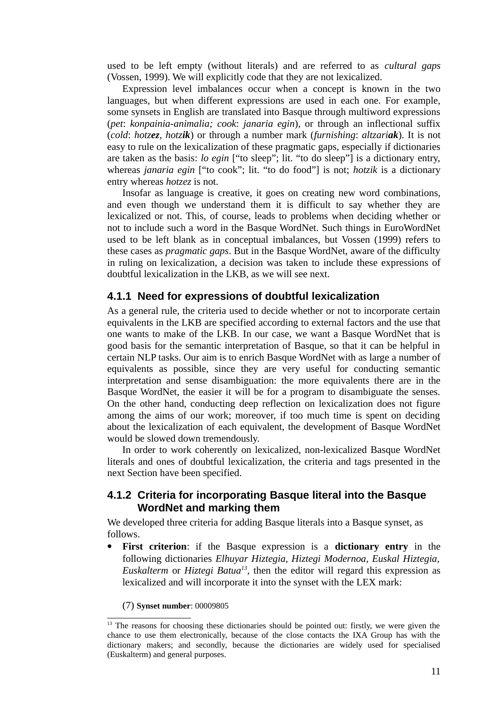used to be left empty (without literals) and are referred to as *cultural gaps* (Vossen, 1999). We will explicitly code that they are not lexicalized.

Expression level imbalances occur when a concept is known in the two languages, but when different expressions are used in each one. For example, some synsets in English are translated into Basque through multiword expressions (*pet*: *konpainia-animalia; cook*: *janaria egin*), or through an inflectional suffix (*cold*: *hotzez, hotzik*) or through a number mark (*furnishing*: *altzariak*). It is not easy to rule on the lexicalization of these pragmatic gaps, especially if dictionaries are taken as the basis: *lo egin* ["to sleep"; lit. "to do sleep"] is a dictionary entry, whereas *janaria egin* ["to cook"; lit. "to do food"] is not; *hotzik* is a dictionary entry whereas *hotzez* is not.

Insofar as language is creative, it goes on creating new word combinations, and even though we understand them it is difficult to say whether they are lexicalized or not. This, of course, leads to problems when deciding whether or not to include such a word in the Basque WordNet. Such things in EuroWordNet used to be left blank as in conceptual imbalances, but Vossen (1999) refers to these cases as *pragmatic gaps*. But in the Basque WordNet, aware of the difficulty in ruling on lexicalization, a decision was taken to include these expressions of doubtful lexicalization in the LKB, as we will see next.

#### **4.1.1 Need for expressions of doubtful lexicalization**

As a general rule, the criteria used to decide whether or not to incorporate certain equivalents in the LKB are specified according to external factors and the use that one wants to make of the LKB. In our case, we want a Basque WordNet that is good basis for the semantic interpretation of Basque, so that it can be helpful in certain NLP tasks. Our aim is to enrich Basque WordNet with as large a number of equivalents as possible, since they are very useful for conducting semantic interpretation and sense disambiguation: the more equivalents there are in the Basque WordNet, the easier it will be for a program to disambiguate the senses. On the other hand, conducting deep reflection on lexicalization does not figure among the aims of our work; moreover, if too much time is spent on deciding about the lexicalization of each equivalent, the development of Basque WordNet would be slowed down tremendously.

In order to work coherently on lexicalized, non-lexicalized Basque WordNet literals and ones of doubtful lexicalization, the criteria and tags presented in the next Section have been specified.

#### **4.1.2 Criteria for incorporating Basque literal into the Basque WordNet and marking them**

We developed three criteria for adding Basque literals into a Basque synset, as follows.

 **First criterion**: if the Basque expression is a **dictionary entry** in the following dictionaries *Elhuyar Hiztegia, Hiztegi Modernoa, Euskal Hiztegia, Euskalterm* or *Hiztegi Batua[13](#page-10-0) ,* then the editor will regard this expression as lexicalized and will incorporate it into the synset with the LEX mark:

<sup>(7)</sup> **Synset number**: 00009805

<span id="page-10-0"></span><sup>&</sup>lt;sup>13</sup> The reasons for choosing these dictionaries should be pointed out: firstly, we were given the chance to use them electronically, because of the close contacts the IXA Group has with the dictionary makers; and secondly, because the dictionaries are widely used for specialised (Euskalterm) and general purposes.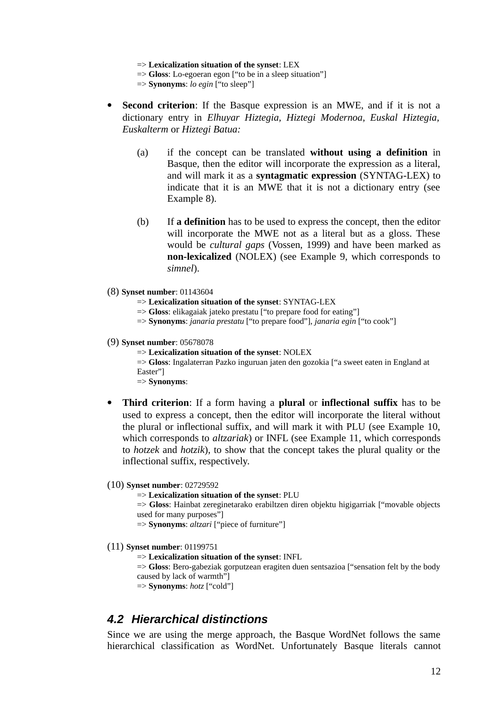- => **Lexicalization situation of the synset**: LEX
- => **Gloss**: Lo-egoeran egon ["to be in a sleep situation"]
- => **Synonyms**: *lo egin* ["to sleep"]
- **Second criterion**: If the Basque expression is an MWE, and if it is not a dictionary entry in *Elhuyar Hiztegia, Hiztegi Modernoa, Euskal Hiztegia, Euskalterm* or *Hiztegi Batua:*
	- (a) if the concept can be translated **without using a definition** in Basque, then the editor will incorporate the expression as a literal, and will mark it as a **syntagmatic expression** (SYNTAG-LEX) to indicate that it is an MWE that it is not a dictionary entry (see Example 8).
	- (b) If **a definition** has to be used to express the concept, then the editor will incorporate the MWE not as a literal but as a gloss. These would be *cultural gaps* (Vossen, 1999) and have been marked as **non-lexicalized** (NOLEX) (see Example 9, which corresponds to *simnel*).
- (8) **Synset number**: 01143604
	- => **Lexicalization situation of the synset**: SYNTAG-LEX
	- => **Gloss**: elikagaiak jateko prestatu ["to prepare food for eating"]
	- => **Synonyms**: *janaria prestatu* ["to prepare food"], *janaria egin* ["to cook"]
- (9) **Synset number**: 05678078
	- => **Lexicalization situation of the synset**: NOLEX
	- => **Gloss**: Ingalaterran Pazko inguruan jaten den gozokia ["a sweet eaten in England at Easter"]
	-
	- => **Synonyms**:
- **Third criterion**: If a form having a **plural** or **inflectional suffix** has to be used to express a concept, then the editor will incorporate the literal without the plural or inflectional suffix, and will mark it with PLU (see Example 10, which corresponds to *altzariak*) or INFL (see Example 11, which corresponds to *hotzek* and *hotzik*), to show that the concept takes the plural quality or the inflectional suffix, respectively.
- (10) **Synset number**: 02729592

=> **Lexicalization situation of the synset**: PLU

=> **Gloss**: Hainbat zereginetarako erabiltzen diren objektu higigarriak ["movable objects used for many purposes"]

=> **Synonyms**: *altzari* ["piece of furniture"]

(11) **Synset number**: 01199751

=> **Lexicalization situation of the synset**: INFL

=> **Gloss**: Bero-gabeziak gorputzean eragiten duen sentsazioa ["sensation felt by the body caused by lack of warmth"]

=> **Synonyms**: *hotz* ["cold"]

### *4.2 Hierarchical distinctions*

Since we are using the merge approach, the Basque WordNet follows the same hierarchical classification as WordNet. Unfortunately Basque literals cannot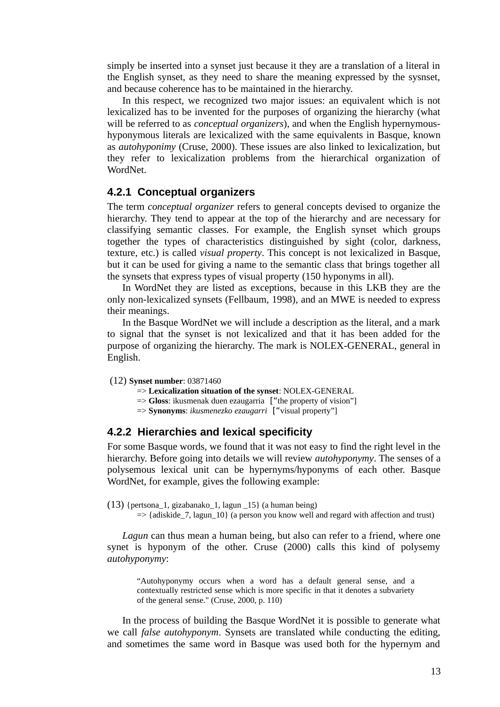simply be inserted into a synset just because it they are a translation of a literal in the English synset, as they need to share the meaning expressed by the sysnset, and because coherence has to be maintained in the hierarchy.

In this respect, we recognized two major issues: an equivalent which is not lexicalized has to be invented for the purposes of organizing the hierarchy (what will be referred to as *conceptual organizers*), and when the English hypernymoushyponymous literals are lexicalized with the same equivalents in Basque, known as *autohyponimy* (Cruse, 2000). These issues are also linked to lexicalization, but they refer to lexicalization problems from the hierarchical organization of WordNet.

#### **4.2.1 Conceptual organizers**

The term *conceptual organizer* refers to general concepts devised to organize the hierarchy. They tend to appear at the top of the hierarchy and are necessary for classifying semantic classes. For example, the English synset which groups together the types of characteristics distinguished by sight (color, darkness, texture, etc.) is called *visual property*. This concept is not lexicalized in Basque, but it can be used for giving a name to the semantic class that brings together all the synsets that express types of visual property (150 hyponyms in all).

In WordNet they are listed as exceptions, because in this LKB they are the only non-lexicalized synsets (Fellbaum, 1998), and an MWE is needed to express their meanings.

In the Basque WordNet we will include a description as the literal, and a mark to signal that the synset is not lexicalized and that it has been added for the purpose of organizing the hierarchy. The mark is NOLEX-GENERAL, general in English.

- (12) **Synset number**: 03871460
	- => **Lexicalization situation of the synset**: NOLEX-GENERAL
	- => **Gloss**: ikusmenak duen ezaugarria ["the property of vision"]
	- => **Synonyms**: *ikusmenezko ezaugarri* ["visual property"]

#### **4.2.2 Hierarchies and lexical specificity**

For some Basque words, we found that it was not easy to find the right level in the hierarchy. Before going into details we will review *autohyponymy*. The senses of a polysemous lexical unit can be hypernyms/hyponyms of each other. Basque WordNet, for example, gives the following example:

(13) {pertsona\_1, gizabanako\_1, lagun \_15} (a human being)

 $\Rightarrow$  {adiskide\_7, lagun\_10} (a person you know well and regard with affection and trust)

*Lagun* can thus mean a human being, but also can refer to a friend, where one synet is hyponym of the other. Cruse (2000) calls this kind of polysemy *autohyponymy*:

"Autohyponymy occurs when a word has a default general sense, and a contextually restricted sense which is more specific in that it denotes a subvariety of the general sense." (Cruse, 2000, p. 110)

In the process of building the Basque WordNet it is possible to generate what we call *false autohyponym*. Synsets are translated while conducting the editing, and sometimes the same word in Basque was used both for the hypernym and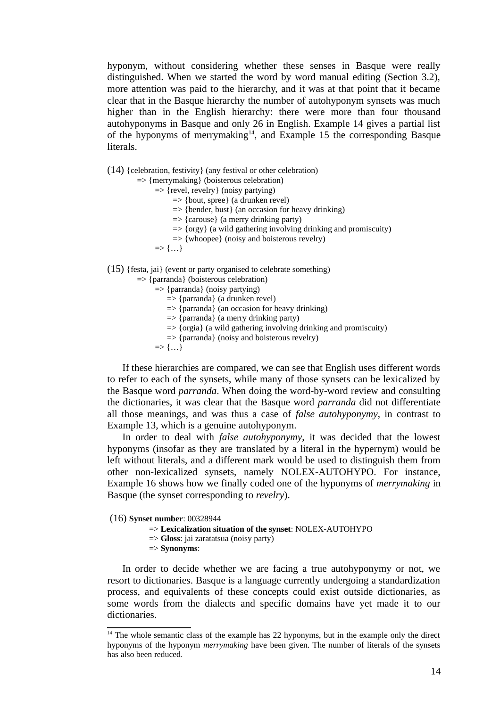hyponym, without considering whether these senses in Basque were really distinguished. When we started the word by word manual editing (Section 3.2), more attention was paid to the hierarchy, and it was at that point that it became clear that in the Basque hierarchy the number of autohyponym synsets was much higher than in the English hierarchy: there were more than four thousand autohyponyms in Basque and only 26 in English. Example 14 gives a partial list of the hyponyms of merrymaking<sup>[14](#page-13-0)</sup>, and Example 15 the corresponding Basque literals.

(14) {celebration, festivity} (any festival or other celebration)

 $\Rightarrow$  {merrymaking} (boisterous celebration)

 $\Rightarrow$  {revel, revelry} (noisy partying)

- $\Rightarrow$  {bout, spree} (a drunken revel)
- $\Rightarrow$  {bender, bust} (an occasion for heavy drinking)
- $\Rightarrow$  {carouse} (a merry drinking party)
- $\Rightarrow$  {orgy} (a wild gathering involving drinking and promiscuity)
- => {whoopee} (noisy and boisterous revelry)
- $\Rightarrow$  {...}

(15) {festa, jai} (event or party organised to celebrate something)

- => {parranda} (boisterous celebration)
	- => {parranda} (noisy partying)
		- => {parranda} (a drunken revel)
		- $\Rightarrow$  {parranda} (an occasion for heavy drinking)
		- $\Rightarrow$  {parranda} (a merry drinking party)
		- $\Rightarrow$  {orgia} (a wild gathering involving drinking and promiscuity)
		- $\Rightarrow$  {parranda} (noisy and boisterous revelry)
	- => {…}

If these hierarchies are compared, we can see that English uses different words to refer to each of the synsets, while many of those synsets can be lexicalized by the Basque word *parranda*. When doing the word-by-word review and consulting the dictionaries, it was clear that the Basque word *parranda* did not differentiate all those meanings, and was thus a case of *false autohyponymy*, in contrast to Example 13, which is a genuine autohyponym.

In order to deal with *false autohyponymy*, it was decided that the lowest hyponyms (insofar as they are translated by a literal in the hypernym) would be left without literals, and a different mark would be used to distinguish them from other non-lexicalized synsets, namely NOLEX-AUTOHYPO. For instance, Example 16 shows how we finally coded one of the hyponyms of *merrymaking* in Basque (the synset corresponding to *revelry*).

#### (16) **Synset number**: 00328944

- => **Lexicalization situation of the synset**: NOLEX-AUTOHYPO
- => **Gloss**: jai zaratatsua (noisy party)
- => **Synonyms**:

In order to decide whether we are facing a true autohyponymy or not, we resort to dictionaries. Basque is a language currently undergoing a standardization process, and equivalents of these concepts could exist outside dictionaries, as some words from the dialects and specific domains have yet made it to our dictionaries.

<span id="page-13-0"></span><sup>&</sup>lt;sup>14</sup> The whole semantic class of the example has 22 hyponyms, but in the example only the direct hyponyms of the hyponym *merrymaking* have been given. The number of literals of the synsets has also been reduced.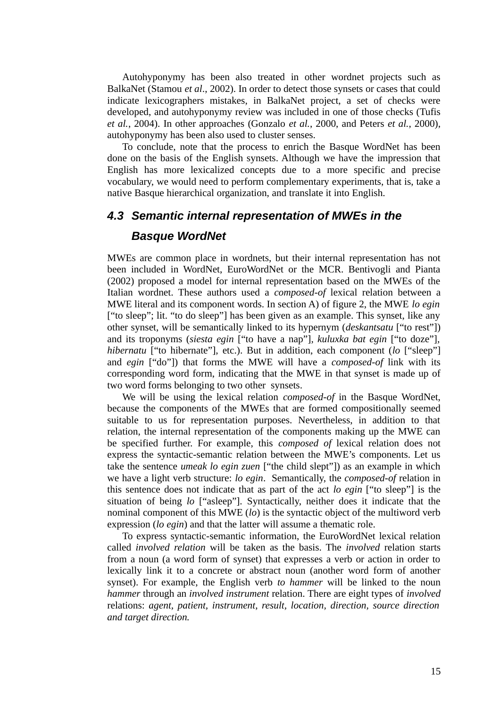Autohyponymy has been also treated in other wordnet projects such as BalkaNet (Stamou *et al*., 2002). In order to detect those synsets or cases that could indicate lexicographers mistakes, in BalkaNet project, a set of checks were developed, and autohyponymy review was included in one of those checks (Tufis *et al.*, 2004). In other approaches (Gonzalo *et al.*, 2000, and Peters *et al.*, 2000), autohyponymy has been also used to cluster senses.

To conclude, note that the process to enrich the Basque WordNet has been done on the basis of the English synsets. Although we have the impression that English has more lexicalized concepts due to a more specific and precise vocabulary, we would need to perform complementary experiments, that is, take a native Basque hierarchical organization, and translate it into English.

#### *4.3 Semantic internal representation of MWEs in the*

#### *Basque WordNet*

MWEs are common place in wordnets, but their internal representation has not been included in WordNet, EuroWordNet or the MCR. Bentivogli and Pianta (2002) proposed a model for internal representation based on the MWEs of the Italian wordnet. These authors used a *composed-of* lexical relation between a MWE literal and its component words. In section A) of figure 2, the MWE *lo egin* ["to sleep"; lit. "to do sleep"] has been given as an example. This synset, like any other synset*,* will be semantically linked to its hypernym (*deskantsatu* ["to rest"]) and its troponyms (*siesta egin* ["to have a nap"]*, kuluxka bat egin* ["to doze"]*, hibernatu* ["to hibernate"], etc.). But in addition, each component (*lo* ["sleep"] and *egin* ["do"]) that forms the MWE will have a *composed-of* link with its corresponding word form, indicating that the MWE in that synset is made up of two word forms belonging to two other synsets.

We will be using the lexical relation *composed-of* in the Basque WordNet, because the components of the MWEs that are formed compositionally seemed suitable to us for representation purposes. Nevertheless, in addition to that relation, the internal representation of the components making up the MWE can be specified further. For example, this *composed of* lexical relation does not express the syntactic-semantic relation between the MWE's components. Let us take the sentence *umeak lo egin zuen* ["the child slept"]) as an example in which we have a light verb structure: *lo egin*. Semantically, the *composed-of* relation in this sentence does not indicate that as part of the act *lo egin* ["to sleep"] is the situation of being *lo* ["asleep"]*.* Syntactically, neither does it indicate that the nominal component of this MWE (*lo*) is the syntactic object of the multiword verb expression (*lo egin*) and that the latter will assume a thematic role.

To express syntactic-semantic information, the EuroWordNet lexical relation called *involved relation* will be taken as the basis. The *involved* relation starts from a noun (a word form of synset) that expresses a verb or action in order to lexically link it to a concrete or abstract noun (another word form of another synset). For example, the English verb *to hammer* will be linked to the noun *hammer* through an *involved instrument* relation. There are eight types of *involved* relations: *agent, patient, instrument, result, location, direction, source direction and target direction.*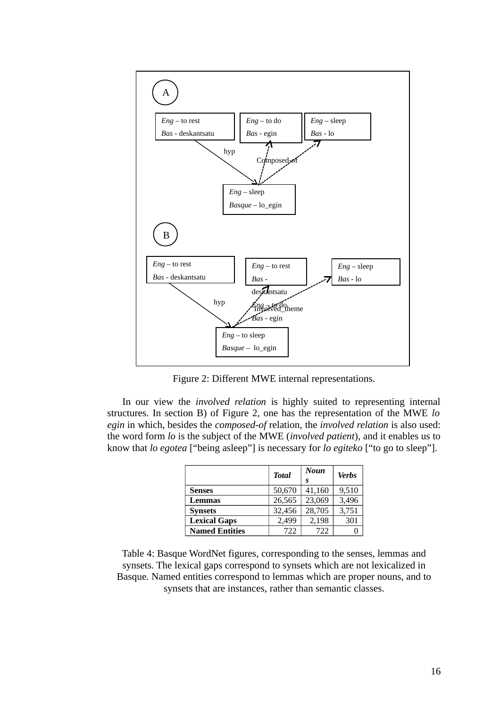

Figure 2: Different MWE internal representations.

In our view the *involved relation* is highly suited to representing internal structures. In section B) of Figure 2, one has the representation of the MWE *lo egin* in which, besides the *composed-of* relation, the *involved relation* is also used: the word form *lo* is the subject of the MWE (*involved patient*), and it enables us to know that *lo egotea* ["being asleep"] is necessary for *lo egiteko* ["to go to sleep"].

|                       | <b>Total</b> | Noun<br>S | <b>Verbs</b> |
|-----------------------|--------------|-----------|--------------|
| <b>Senses</b>         | 50,670       | 41,160    | 9,510        |
| Lemmas                | 26,565       | 23,069    | 3,496        |
| <b>Synsets</b>        | 32,456       | 28,705    | 3,751        |
| <b>Lexical Gaps</b>   | 2.499        | 2,198     | 301          |
| <b>Named Entities</b> | 722          | 722       |              |

Table 4: Basque WordNet figures, corresponding to the senses, lemmas and synsets. The lexical gaps correspond to synsets which are not lexicalized in Basque. Named entities correspond to lemmas which are proper nouns, and to synsets that are instances, rather than semantic classes.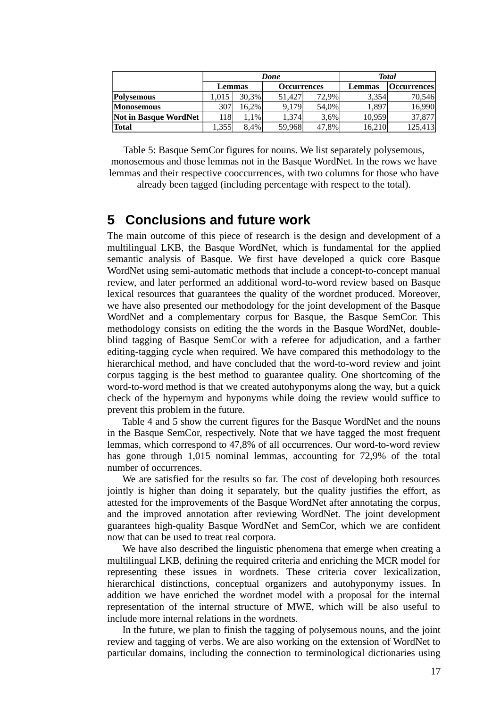|                       | Done   |       |             | <b>Total</b> |        |             |
|-----------------------|--------|-------|-------------|--------------|--------|-------------|
|                       | Lemmas |       | Occurrences |              | Lemmas | Occurrences |
| Polysemous            | 1.015  | 30,3% | 51.427      | 72,9%        | 3,354  | 70,546      |
| <b>Monosemous</b>     | 307    | 16.2% | 9.179       | 54,0%        | 1,897  | 16,990      |
| Not in Basque WordNet | 118    | 1,1%  | 1.374       | 3,6%         | 10,959 | 37,877      |
| 'Total                | 1.355  | 8.4%  | 59,968      | 47,8%        | 16,210 | 125,413     |

Table 5: Basque SemCor figures for nouns. We list separately polysemous, monosemous and those lemmas not in the Basque WordNet. In the rows we have lemmas and their respective cooccurrences, with two columns for those who have already been tagged (including percentage with respect to the total).

## **5 Conclusions and future work**

The main outcome of this piece of research is the design and development of a multilingual LKB, the Basque WordNet, which is fundamental for the applied semantic analysis of Basque. We first have developed a quick core Basque WordNet using semi-automatic methods that include a concept-to-concept manual review, and later performed an additional word-to-word review based on Basque lexical resources that guarantees the quality of the wordnet produced. Moreover, we have also presented our methodology for the joint development of the Basque WordNet and a complementary corpus for Basque, the Basque SemCor. This methodology consists on editing the the words in the Basque WordNet, doubleblind tagging of Basque SemCor with a referee for adjudication, and a farther editing-tagging cycle when required. We have compared this methodology to the hierarchical method, and have concluded that the word-to-word review and joint corpus tagging is the best method to guarantee quality. One shortcoming of the word-to-word method is that we created autohyponyms along the way, but a quick check of the hypernym and hyponyms while doing the review would suffice to prevent this problem in the future.

Table 4 and 5 show the current figures for the Basque WordNet and the nouns in the Basque SemCor, respectively. Note that we have tagged the most frequent lemmas, which correspond to 47,8% of all occurrences. Our word-to-word review has gone through 1,015 nominal lemmas, accounting for 72,9% of the total number of occurrences.

We are satisfied for the results so far. The cost of developing both resources jointly is higher than doing it separately, but the quality justifies the effort, as attested for the improvements of the Basque WordNet after annotating the corpus, and the improved annotation after reviewing WordNet. The joint development guarantees high-quality Basque WordNet and SemCor, which we are confident now that can be used to treat real corpora.

We have also described the linguistic phenomena that emerge when creating a multilingual LKB, defining the required criteria and enriching the MCR model for representing these issues in wordnets. These criteria cover lexicalization, hierarchical distinctions, conceptual organizers and autohyponymy issues. In addition we have enriched the wordnet model with a proposal for the internal representation of the internal structure of MWE, which will be also useful to include more internal relations in the wordnets.

In the future, we plan to finish the tagging of polysemous nouns, and the joint review and tagging of verbs. We are also working on the extension of WordNet to particular domains, including the connection to terminological dictionaries using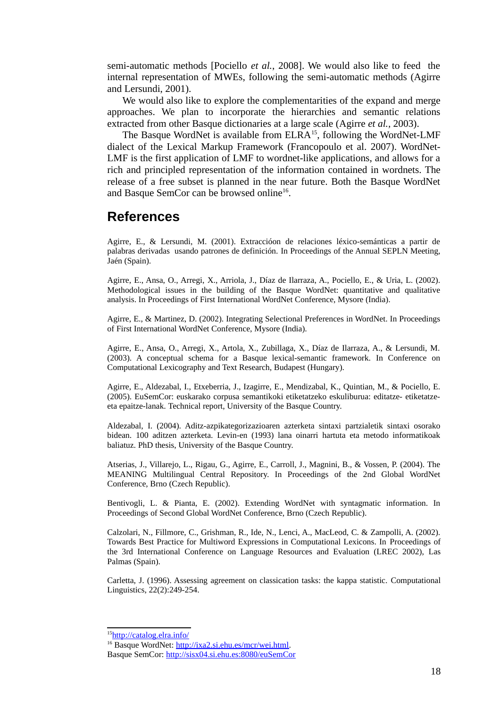semi-automatic methods [Pociello *et al.*, 2008]. We would also like to feed the internal representation of MWEs, following the semi-automatic methods (Agirre and Lersundi, 2001).

We would also like to explore the complementarities of the expand and merge approaches. We plan to incorporate the hierarchies and semantic relations extracted from other Basque dictionaries at a large scale (Agirre *et al.,* 2003).

The Basque WordNet is available from ELRA<sup>[15](#page-17-0)</sup>, following the WordNet-LMF dialect of the Lexical Markup Framework (Francopoulo et al. 2007). WordNet-LMF is the first application of LMF to wordnet-like applications, and allows for a rich and principled representation of the information contained in wordnets. The release of a free subset is planned in the near future. Both the Basque WordNet and Basque SemCor can be browsed online<sup>[16](#page-17-1)</sup>.

## **References**

Agirre, E., & Lersundi, M. (2001). Extraccióon de relaciones léxico-semánticas a partir de palabras derivadas usando patrones de definición. In Proceedings of the Annual SEPLN Meeting, Jaén (Spain).

Agirre, E., Ansa, O., Arregi, X., Arriola, J., Díaz de Ilarraza, A., Pociello, E., & Uria, L. (2002). Methodological issues in the building of the Basque WordNet: quantitative and qualitative analysis. In Proceedings of First International WordNet Conference, Mysore (India).

Agirre, E., & Martinez, D. (2002). Integrating Selectional Preferences in WordNet. In Proceedings of First International WordNet Conference, Mysore (India).

Agirre, E., Ansa, O., Arregi, X., Artola, X., Zubillaga, X., Díaz de Ilarraza, A., & Lersundi, M. (2003). A conceptual schema for a Basque lexical-semantic framework. In Conference on Computational Lexicography and Text Research, Budapest (Hungary).

Agirre, E., Aldezabal, I., Etxeberria, J., Izagirre, E., Mendizabal, K., Quintian, M., & Pociello, E. (2005). EuSemCor: euskarako corpusa semantikoki etiketatzeko eskuliburua: editatze- etiketatzeeta epaitze-lanak. Technical report, University of the Basque Country.

Aldezabal, I. (2004). Aditz-azpikategorizazioaren azterketa sintaxi partzialetik sintaxi osorako bidean. 100 aditzen azterketa. Levin-en (1993) lana oinarri hartuta eta metodo informatikoak baliatuz. PhD thesis, University of the Basque Country.

Atserias, J., Villarejo, L., Rigau, G., Agirre, E., Carroll, J., Magnini, B., & Vossen, P. (2004). The MEANING Multilingual Central Repository. In Proceedings of the 2nd Global WordNet Conference, Brno (Czech Republic).

Bentivogli, L. & Pianta, E. (2002). Extending WordNet with syntagmatic information. In Proceedings of Second Global WordNet Conference, Brno (Czech Republic).

Calzolari, N., Fillmore, C., Grishman, R., Ide, N., Lenci, A., MacLeod, C. & Zampolli, A. (2002). Towards Best Practice for Multiword Expressions in Computational Lexicons. In Proceedings of the 3rd International Conference on Language Resources and Evaluation (LREC 2002), Las Palmas (Spain).

Carletta, J. (1996). Assessing agreement on classication tasks: the kappa statistic. Computational Linguistics, 22(2):249-254.

<span id="page-17-0"></span><sup>15</sup>http://catalog.elra.info/

<span id="page-17-1"></span><sup>&</sup>lt;sup>16</sup> Basque WordNet: [http://ixa2.si.ehu.es/mcr/wei.html.](http://ixa2.si.ehu.es/mcr/wei.html)

Basque SemCor: [http://sisx04.si.ehu.es:8080/euSemCor](http://sisx04.si.ehu.es:8080/eusemcor)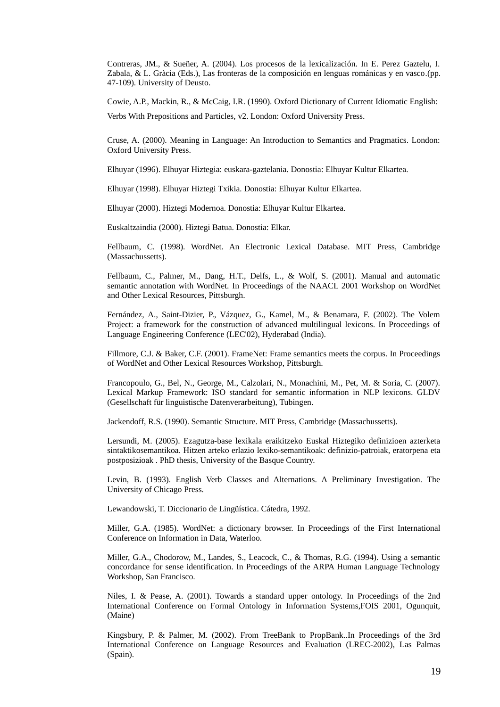Contreras, JM., & Sueñer, A. (2004). Los procesos de la lexicalización. In E. Perez Gaztelu, I. Zabala, & L. Gràcia (Eds.), Las fronteras de la composición en lenguas románicas y en vasco*.*(pp. 47-109). University of Deusto.

Cowie, A.P., Mackin, R., & McCaig, I.R. (1990). Oxford Dictionary of Current Idiomatic English: Verbs With Prepositions and Particles, v2. London: Oxford University Press.

Cruse, A. (2000). Meaning in Language: An Introduction to Semantics and Pragmatics. London: Oxford University Press.

Elhuyar (1996). Elhuyar Hiztegia: euskara-gaztelania. Donostia: Elhuyar Kultur Elkartea.

Elhuyar (1998). Elhuyar Hiztegi Txikia. Donostia: Elhuyar Kultur Elkartea.

Elhuyar (2000). Hiztegi Modernoa. Donostia: Elhuyar Kultur Elkartea.

Euskaltzaindia (2000). Hiztegi Batua. Donostia: Elkar.

Fellbaum, C. (1998). WordNet. An Electronic Lexical Database. MIT Press, Cambridge (Massachussetts).

Fellbaum, C., Palmer, M., Dang, H.T., Delfs, L., & Wolf, S. (2001). Manual and automatic semantic annotation with WordNet. In Proceedings of the NAACL 2001 Workshop on WordNet and Other Lexical Resources, Pittsburgh.

Fernández, A., Saint-Dizier, P., Vázquez, G., Kamel, M., & Benamara, F. (2002). The Volem Project: a framework for the construction of advanced multilingual lexicons. In Proceedings of Language Engineering Conference (LEC'02), Hyderabad (India).

Fillmore, C.J. & Baker, C.F. (2001). FrameNet: Frame semantics meets the corpus. In Proceedings of WordNet and Other Lexical Resources Workshop, Pittsburgh.

Francopoulo, G., Bel, N., George, M., Calzolari, N., Monachini, M., Pet, M. & Soria, C. (2007). Lexical Markup Framework: ISO standard for semantic information in NLP lexicons. GLDV (Gesellschaft für linguistische Datenverarbeitung), Tubingen.

Jackendoff, R.S. (1990). Semantic Structure. MIT Press, Cambridge (Massachussetts).

Lersundi, M. (2005). Ezagutza-base lexikala eraikitzeko Euskal Hiztegiko definizioen azterketa sintaktikosemantikoa. Hitzen arteko erlazio lexiko-semantikoak: definizio-patroiak, eratorpena eta postposizioak . PhD thesis, University of the Basque Country.

Levin, B. (1993). English Verb Classes and Alternations. A Preliminary Investigation. The University of Chicago Press.

Lewandowski, T. Diccionario de Lingüística. Cátedra, 1992.

Miller, G.A. (1985). WordNet: a dictionary browser. In Proceedings of the First International Conference on Information in Data, Waterloo.

Miller, G.A., Chodorow, M., Landes, S., Leacock, C., & Thomas, R.G. (1994). Using a semantic concordance for sense identification. In Proceedings of the ARPA Human Language Technology Workshop, San Francisco.

Niles, I. & Pease, A. (2001). Towards a standard upper ontology. In Proceedings of the 2nd International Conference on Formal Ontology in Information Systems,FOIS 2001, Ogunquit, (Maine)

Kingsbury, P. & Palmer, M. (2002). From TreeBank to PropBank..In Proceedings of the 3rd International Conference on Language Resources and Evaluation (LREC-2002), Las Palmas (Spain).